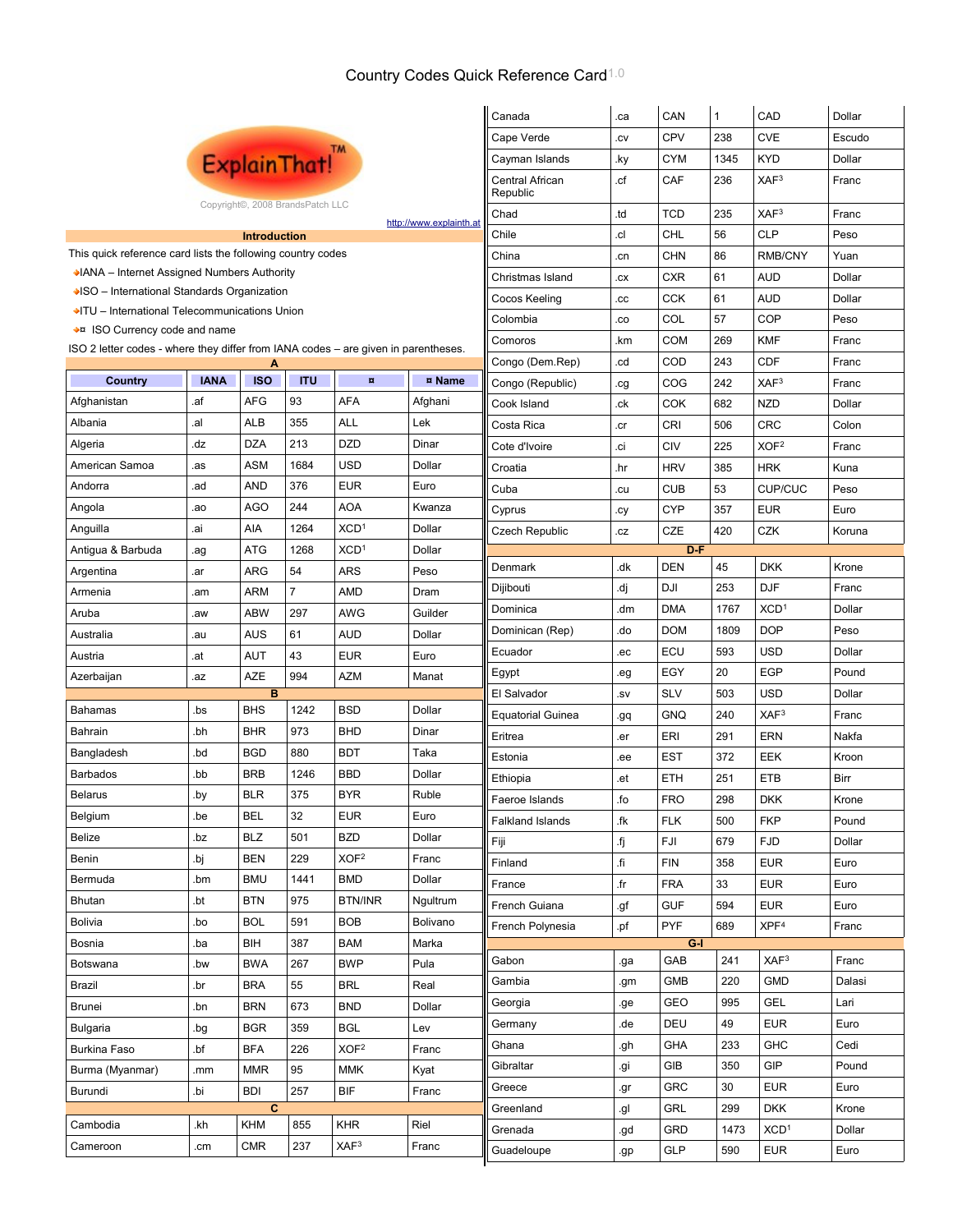## Country Codes Quick Reference Card1.0

|                                                                                         |             |                              |                                  |                         |            | Canada                   | .ca              | CAN        | 1    | CAD              | Dollar |
|-----------------------------------------------------------------------------------------|-------------|------------------------------|----------------------------------|-------------------------|------------|--------------------------|------------------|------------|------|------------------|--------|
|                                                                                         |             |                              |                                  |                         |            | Cape Verde               | .cv              | CPV        | 238  | <b>CVE</b>       | Escudo |
|                                                                                         |             |                              | ExplainThat!"                    |                         |            | Cayman Islands           | .ky              | <b>CYM</b> | 1345 | <b>KYD</b>       | Dollar |
|                                                                                         |             |                              | Central African<br>Republic      | .cf                     | CAF        | 236                      | XAF <sup>3</sup> | Franc      |      |                  |        |
|                                                                                         |             |                              | Copyright©, 2008 BrandsPatch LLC |                         |            | Chad                     | .td              | <b>TCD</b> | 235  | XAF3             | Franc  |
|                                                                                         |             | http://www.explainth.at      | Chile                            | .cl                     | <b>CHL</b> | 56                       | <b>CLP</b>       | Peso       |      |                  |        |
| This quick reference card lists the following country codes                             |             | China                        | .cn                              | <b>CHN</b>              | 86         | RMB/CNY                  | Yuan             |            |      |                  |        |
| ◆IANA – Internet Assigned Numbers Authority                                             |             | Christmas Island             | .cx                              | <b>CXR</b>              | 61         | <b>AUD</b>               | Dollar           |            |      |                  |        |
| ◆ISO – International Standards Organization                                             |             | Cocos Keeling                | .cc                              | <b>CCK</b>              | 61         | <b>AUD</b>               | Dollar           |            |      |                  |        |
| ◆ ITU - International Telecommunications Union                                          | Colombia    | .co                          | COL                              | 57                      | <b>COP</b> | Peso                     |                  |            |      |                  |        |
| ◆¤ ISO Currency code and name                                                           |             |                              |                                  |                         |            | Comoros                  | .km              | <b>COM</b> | 269  | <b>KMF</b>       | Franc  |
| ISO 2 letter codes - where they differ from IANA codes – are given in parentheses.<br>A |             |                              |                                  |                         |            | Congo (Dem.Rep)          | .cd              | COD        | 243  | <b>CDF</b>       | Franc  |
| Country                                                                                 | <b>IANA</b> | <b>ISO</b>                   | <b>ITU</b>                       | $\overline{\mathbf{u}}$ | ¤ Name     | Congo (Republic)         | .cg              | COG        | 242  | XAF3             | Franc  |
| Afghanistan                                                                             | .af         | <b>AFG</b>                   | 93                               | AFA                     | Afghani    | Cook Island              | .ck              | COK        | 682  | <b>NZD</b>       | Dollar |
| Albania                                                                                 | .al         | ALB                          | 355                              | ALL                     | Lek        | Costa Rica               | .cr              | <b>CRI</b> | 506  | <b>CRC</b>       | Colon  |
| Algeria                                                                                 | .dz         | <b>DZA</b>                   | 213                              | <b>DZD</b>              | Dinar      | Cote d'Ivoire            | .ci              | <b>CIV</b> | 225  | XOF <sub>2</sub> | Franc  |
| American Samoa                                                                          | .as         | ASM                          | 1684                             | <b>USD</b>              | Dollar     | Croatia                  | .hr              | <b>HRV</b> | 385  | <b>HRK</b>       | Kuna   |
| Andorra                                                                                 | .ad         | <b>AND</b>                   | 376                              | <b>EUR</b>              | Euro       | Cuba                     | .cu              | <b>CUB</b> | 53   | <b>CUP/CUC</b>   | Peso   |
| Angola                                                                                  | .ao         | <b>AGO</b>                   | 244                              | AOA                     | Kwanza     | Cyprus                   | .cy              | <b>CYP</b> | 357  | <b>EUR</b>       | Euro   |
| Anguilla                                                                                | .ai         | AIA                          | 1264                             | XCD <sup>1</sup>        | Dollar     | <b>Czech Republic</b>    | .cz              | CZE        | 420  | <b>CZK</b>       | Koruna |
| Antigua & Barbuda                                                                       | .ag         | <b>ATG</b>                   | 1268                             | XCD <sup>1</sup>        | Dollar     |                          |                  | D-F        |      |                  |        |
| Argentina                                                                               | .ar         | <b>ARG</b>                   | 54                               | <b>ARS</b>              | Peso       | Denmark                  | .dk              | <b>DEN</b> | 45   | <b>DKK</b>       | Krone  |
| Armenia                                                                                 | .am         | <b>ARM</b>                   | $\overline{7}$                   | AMD                     | Dram       | Dijibouti                | .dj              | DJI        | 253  | <b>DJF</b>       | Franc  |
| Aruba                                                                                   | .aw         | <b>ABW</b>                   | 297                              | <b>AWG</b>              | Guilder    | Dominica                 | .dm              | <b>DMA</b> | 1767 | XCD <sup>1</sup> | Dollar |
| Australia                                                                               | .au         | <b>AUS</b>                   | 61                               | <b>AUD</b>              | Dollar     | Dominican (Rep)          | .do              | <b>DOM</b> | 1809 | <b>DOP</b>       | Peso   |
| Austria                                                                                 | .at         | <b>AUT</b>                   | 43                               | <b>EUR</b>              | Euro       | Ecuador                  | .ec              | ECU        | 593  | <b>USD</b>       | Dollar |
| Azerbaijan                                                                              | .az         | <b>AZE</b>                   | 994                              | <b>AZM</b>              | Manat      | Egypt                    | .eg              | EGY        | 20   | <b>EGP</b>       | Pound  |
|                                                                                         |             | B                            |                                  |                         |            | El Salvador              | .SV              | <b>SLV</b> | 503  | <b>USD</b>       | Dollar |
| Bahamas                                                                                 | .bs         | <b>BHS</b>                   | 1242                             | <b>BSD</b>              | Dollar     | <b>Equatorial Guinea</b> | .gq              | <b>GNQ</b> | 240  | XAF <sup>3</sup> | Franc  |
| Bahrain                                                                                 | .bh         | <b>BHR</b>                   | 973                              | <b>BHD</b>              | Dinar      | Eritrea                  | .er              | ERI        | 291  | <b>ERN</b>       | Nakfa  |
| Bangladesh                                                                              | .bd         | <b>BGD</b>                   | 880                              | <b>BDT</b>              | Taka       | Estonia                  | .ee              | EST        | 372  | EEK              | Kroon  |
| Barbados                                                                                | .bb         | <b>BRB</b>                   | 1246                             | <b>BBD</b>              | Dollar     | Ethiopia                 | .et              | ETH        | 251  | <b>ETB</b>       | Birr   |
| Belarus                                                                                 | .by         | BLR                          | 375                              | <b>BYR</b>              | Rule       | Faeroe Islands           | .fo              | <b>FRO</b> | 298  | <b>DKK</b>       | Krone  |
| Belgium                                                                                 | .be         | <b>BEL</b>                   | 32                               | <b>EUR</b>              | Euro       | <b>Falkland Islands</b>  | .fk              | <b>FLK</b> | 500  | <b>FKP</b>       | Pound  |
| Belize                                                                                  | .bz         | <b>BLZ</b>                   | 501                              | <b>BZD</b>              | Dollar     | Fiji                     | .fj              | FJI        | 679  | <b>FJD</b>       | Dollar |
| Benin                                                                                   | .bj         | <b>BEN</b>                   | 229                              | XOF <sup>2</sup>        | Franc      | Finland                  | .fi              | <b>FIN</b> | 358  | <b>EUR</b>       | Euro   |
| Bermuda                                                                                 | .bm         | <b>BMU</b>                   | 1441                             | <b>BMD</b>              | Dollar     | France                   | .fr              | <b>FRA</b> | 33   | <b>EUR</b>       | Euro   |
| Bhutan                                                                                  | .bt         | <b>BTN</b>                   | 975                              | <b>BTN/INR</b>          | Ngultrum   | French Guiana            | .gf              | <b>GUF</b> | 594  | <b>EUR</b>       | Euro   |
| Bolivia                                                                                 | .bo         | <b>BOL</b>                   | 591                              | <b>BOB</b>              | Bolivano   | French Polynesia         | .pf              | <b>PYF</b> | 689  | XPF <sup>4</sup> | Franc  |
| Bosnia                                                                                  | .ba         | BIH                          | 387                              | <b>BAM</b>              | Marka      |                          |                  | $G-I$      |      |                  |        |
| Botswana                                                                                | .bw         | <b>BWA</b>                   | 267                              | <b>BWP</b>              | Pula       | Gabon                    | .ga              | GAB        | 241  | XAF3             | Franc  |
| Brazil                                                                                  | .br         | <b>BRA</b>                   | 55                               | BRL                     | Real       | Gambia                   | .gm              | <b>GMB</b> | 220  | <b>GMD</b>       | Dalasi |
| Brunei                                                                                  | .bn         | <b>BRN</b>                   | 673                              | <b>BND</b>              | Dollar     | Georgia                  | .ge              | <b>GEO</b> | 995  | <b>GEL</b>       | Lari   |
| Bulgaria                                                                                | .bg         | <b>BGR</b>                   | 359                              | <b>BGL</b>              | Lev        | Germany                  | .de              | DEU        | 49   | <b>EUR</b>       | Euro   |
| Burkina Faso                                                                            | .bf         | <b>BFA</b>                   | 226                              | XOF <sup>2</sup>        | Franc      | Ghana                    | .gh              | <b>GHA</b> | 233  | <b>GHC</b>       | Cedi   |
| Burma (Myanmar)                                                                         | .mm         | <b>MMR</b>                   | 95                               | <b>MMK</b>              | Kyat       | Gibraltar                | .gi              | GIB        | 350  | <b>GIP</b>       | Pound  |
| Burundi                                                                                 | id.         | <b>BDI</b>                   | 257                              | <b>BIF</b>              | Franc      | Greece                   | .gr              | <b>GRC</b> | 30   | <b>EUR</b>       | Euro   |
| Cambodia                                                                                | .kh         | $\overline{c}$<br><b>KHM</b> | 855                              | <b>KHR</b>              | Riel       | Greenland                | .gl              | <b>GRL</b> | 299  | <b>DKK</b>       | Krone  |
| Cameroon                                                                                | .cm         | <b>CMR</b>                   | 237                              | XAF3                    | Franc      | Grenada                  | .gd              | GRD        | 1473 | XCD <sup>1</sup> | Dollar |
|                                                                                         |             |                              |                                  |                         |            | Guadeloupe               | .gp              | <b>GLP</b> | 590  | <b>EUR</b>       | Euro   |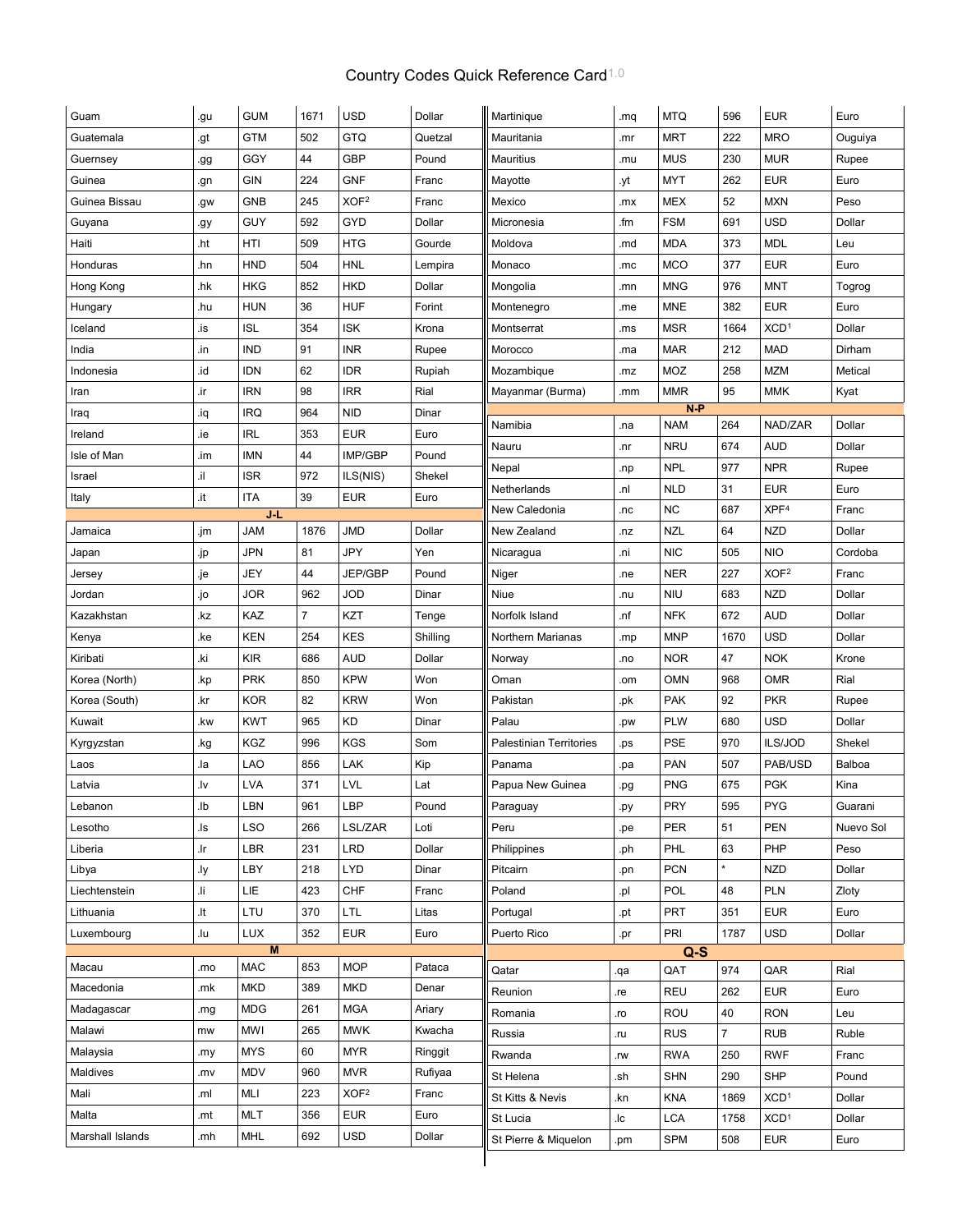## Country Codes Quick Reference Card<sup>1.0</sup>

| Guam             | .gu | <b>GUM</b> | 1671           | <b>USD</b>       | Dollar   | Martinique                     | .mq | <b>MTQ</b> | 596            | <b>EUR</b>       | Euro      |
|------------------|-----|------------|----------------|------------------|----------|--------------------------------|-----|------------|----------------|------------------|-----------|
| Guatemala        | .gt | <b>GTM</b> | 502            | <b>GTQ</b>       | Quetzal  | Mauritania                     | .mr | <b>MRT</b> | 222            | <b>MRO</b>       | Ouguiya   |
| Guernsey         | .gg | GGY        | 44             | <b>GBP</b>       | Pound    | <b>Mauritius</b>               | .mu | <b>MUS</b> | 230            | <b>MUR</b>       | Rupee     |
| Guinea           | .gn | <b>GIN</b> | 224            | <b>GNF</b>       | Franc    | Mayotte                        | .yt | <b>MYT</b> | 262            | <b>EUR</b>       | Euro      |
| Guinea Bissau    | .gw | <b>GNB</b> | 245            | XOF <sup>2</sup> | Franc    | Mexico                         | .mx | <b>MEX</b> | 52             | <b>MXN</b>       | Peso      |
| Guyana           | .gy | <b>GUY</b> | 592            | GYD              | Dollar   | Micronesia                     | .fm | <b>FSM</b> | 691            | <b>USD</b>       | Dollar    |
| Haiti            | .ht | HTI        | 509            | <b>HTG</b>       | Gourde   | Moldova                        | .md | <b>MDA</b> | 373            | <b>MDL</b>       | Leu       |
| Honduras         | .hn | <b>HND</b> | 504            | <b>HNL</b>       | Lempira  | Monaco                         | .mc | <b>MCO</b> | 377            | <b>EUR</b>       | Euro      |
| Hong Kong        | .hk | <b>HKG</b> | 852            | <b>HKD</b>       | Dollar   | Mongolia                       | .mn | <b>MNG</b> | 976            | <b>MNT</b>       | Togrog    |
| Hungary          | .hu | <b>HUN</b> | 36             | <b>HUF</b>       | Forint   | Montenegro                     | .me | <b>MNE</b> | 382            | <b>EUR</b>       | Euro      |
| Iceland          | .is | <b>ISL</b> | 354            | <b>ISK</b>       | Krona    | Montserrat                     | .ms | <b>MSR</b> | 1664           | XCD <sup>1</sup> | Dollar    |
| India            | .in | <b>IND</b> | 91             | <b>INR</b>       | Rupee    | Morocco                        | .ma | <b>MAR</b> | 212            | <b>MAD</b>       | Dirham    |
| Indonesia        | bi. | <b>IDN</b> | 62             | <b>IDR</b>       | Rupiah   | Mozambique                     | .mz | MOZ        | 258            | <b>MZM</b>       | Metical   |
| Iran             | .ir | <b>IRN</b> | 98             | <b>IRR</b>       | Rial     | Mayanmar (Burma)               | .mm | <b>MMR</b> | 95             | <b>MMK</b>       | Kyat      |
| Iraq             | pi. | <b>IRQ</b> | 964            | <b>NID</b>       | Dinar    |                                |     | $N-P$      |                |                  |           |
| Ireland          | .ie | <b>IRL</b> | 353            | <b>EUR</b>       | Euro     | Namibia                        | .na | <b>NAM</b> | 264            | NAD/ZAR          | Dollar    |
| Isle of Man      | .im | <b>IMN</b> | 44             | IMP/GBP          | Pound    | Nauru                          | .nr | <b>NRU</b> | 674            | <b>AUD</b>       | Dollar    |
| Israel           | li. | <b>ISR</b> | 972            | ILS(NIS)         | Shekel   | Nepal                          | .np | <b>NPL</b> | 977            | <b>NPR</b>       | Rupee     |
| Italy            | .it | <b>ITA</b> | 39             | <b>EUR</b>       | Euro     | Netherlands                    | .nl | <b>NLD</b> | 31             | <b>EUR</b>       | Euro      |
|                  |     | $J-L$      |                |                  |          | New Caledonia                  | .nc | <b>NC</b>  | 687            | XPF <sup>4</sup> | Franc     |
| Jamaica          | .jm | <b>JAM</b> | 1876           | <b>JMD</b>       | Dollar   | New Zealand                    | .nz | <b>NZL</b> | 64             | <b>NZD</b>       | Dollar    |
| Japan            | .jp | <b>JPN</b> | 81             | JPY              | Yen      | Nicaragua                      | .ni | <b>NIC</b> | 505            | <b>NIO</b>       | Cordoba   |
| Jersey           | .je | JEY        | 44             | JEP/GBP          | Pound    | Niger                          | .ne | <b>NER</b> | 227            | XOF <sup>2</sup> | Franc     |
| Jordan           | .jo | <b>JOR</b> | 962            | <b>JOD</b>       | Dinar    | Niue                           | .nu | <b>NIU</b> | 683            | <b>NZD</b>       | Dollar    |
| Kazakhstan       | .kz | KAZ        | $\overline{7}$ | KZT              | Tenge    | Norfolk Island                 | .nf | <b>NFK</b> | 672            | <b>AUD</b>       | Dollar    |
| Kenya            | .ke | <b>KEN</b> | 254            | <b>KES</b>       | Shilling | Northern Marianas              | .mp | <b>MNP</b> | 1670           | <b>USD</b>       | Dollar    |
| Kiribati         | .ki | <b>KIR</b> | 686            | <b>AUD</b>       | Dollar   | Norway                         | .no | <b>NOR</b> | 47             | <b>NOK</b>       | Krone     |
| Korea (North)    | .kp | <b>PRK</b> | 850            | <b>KPW</b>       | Won      | Oman                           | .om | <b>OMN</b> | 968            | <b>OMR</b>       | Rial      |
| Korea (South)    | .kr | <b>KOR</b> | 82             | <b>KRW</b>       | Won      | Pakistan                       | .pk | <b>PAK</b> | 92             | <b>PKR</b>       | Rupee     |
| Kuwait           | .kw | <b>KWT</b> | 965            | KD               | Dinar    | Palau                          | .pw | <b>PLW</b> | 680            | <b>USD</b>       | Dollar    |
| Kyrgyzstan       | .kg | KGZ        | 996            | <b>KGS</b>       | Som      | <b>Palestinian Territories</b> | .ps | <b>PSE</b> | 970            | ILS/JOD          | Shekel    |
| Laos             | .la | <b>LAO</b> | 856            | LAK              | Kip      | Panama                         | .pa | <b>PAN</b> | 507            | PAB/USD          | Balboa    |
| Latvia           | .lv | <b>LVA</b> | 371            | LVL              | Lat      | Papua New Guinea               | .pg | <b>PNG</b> | 675            | <b>PGK</b>       | Kina      |
| Lebanon          | .lb | LBN        | 961            | LBP              | Pound    | Paraguay                       | .py | PRY        | 595            | PYG              | Guarani   |
| Lesotho          | .ls | <b>LSO</b> | 266            | LSL/ZAR          | Loti     | Peru                           | .pe | <b>PER</b> | 51             | <b>PEN</b>       | Nuevo Sol |
| Liberia          | .lr | <b>LBR</b> | 231            | <b>LRD</b>       | Dollar   | Philippines                    | .ph | PHL        | 63             | PHP              | Peso      |
| Libya            | .ly | LBY        | 218            | <b>LYD</b>       | Dinar    | Pitcairn                       | .pn | <b>PCN</b> | $\star$        | <b>NZD</b>       | Dollar    |
| Liechtenstein    | il. | LIE        | 423            | CHF              | Franc    | Poland                         | .pl | POL        | 48             | PLN              | Zloty     |
| Lithuania        | .lt | LTU        | 370            | LTL              | Litas    | Portugal                       | .pt | <b>PRT</b> | 351            | <b>EUR</b>       | Euro      |
| Luxembourg       | .lu | <b>LUX</b> | 352            | <b>EUR</b>       | Euro     | Puerto Rico                    | .pr | PRI        | 1787           | <b>USD</b>       | Dollar    |
|                  |     | M          |                |                  |          |                                |     | $Q-S$      |                |                  |           |
| Macau            | .mo | $\sf MAC$  | 853            | <b>MOP</b>       | Pataca   | Qatar                          | .qa | QAT        | 974            | QAR              | Rial      |
| Macedonia        | .mk | <b>MKD</b> | 389            | <b>MKD</b>       | Denar    | Reunion                        | .re | REU        | 262            | <b>EUR</b>       | Euro      |
| Madagascar       | .mg | <b>MDG</b> | 261            | <b>MGA</b>       | Ariary   | Romania                        | .ro | ROU        | 40             | <b>RON</b>       | Leu       |
| Malawi           | mw  | MWI        | 265            | <b>MWK</b>       | Kwacha   | Russia                         | .ru | <b>RUS</b> | $\overline{7}$ | <b>RUB</b>       | Ruble     |
| Malaysia         | .my | <b>MYS</b> | 60             | <b>MYR</b>       | Ringgit  | Rwanda                         | .rw | <b>RWA</b> | 250            | <b>RWF</b>       | Franc     |
| Maldives         | .mv | <b>MDV</b> | 960            | <b>MVR</b>       | Rufiyaa  | St Helena                      | .sh | <b>SHN</b> | 290            | <b>SHP</b>       | Pound     |
| Mali             | .ml | MLI        | 223            | XOF <sup>2</sup> | Franc    | St Kitts & Nevis               | .kn | <b>KNA</b> | 1869           | XCD <sup>1</sup> | Dollar    |
| Malta            | .mt | <b>MLT</b> | 356            | <b>EUR</b>       | Euro     | St Lucia                       | .lc | <b>LCA</b> | 1758           | XCD <sup>1</sup> | Dollar    |
| Marshall Islands | .mh | MHL        | 692            | <b>USD</b>       | Dollar   | St Pierre & Miquelon           | .pm | <b>SPM</b> | 508            | <b>EUR</b>       | Euro      |
|                  |     |            |                |                  |          |                                |     |            |                |                  |           |